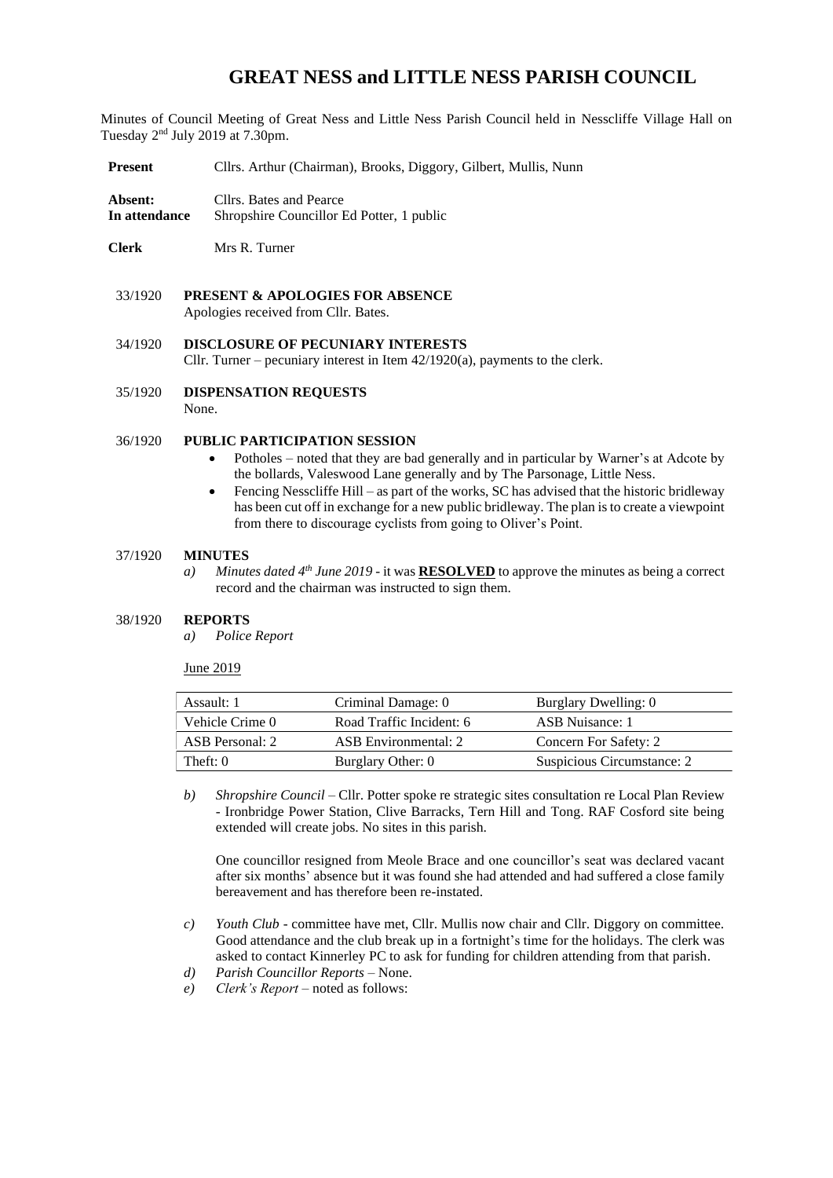# **GREAT NESS and LITTLE NESS PARISH COUNCIL**

Minutes of Council Meeting of Great Ness and Little Ness Parish Council held in Nesscliffe Village Hall on Tuesday 2<sup>nd</sup> July 2019 at 7.30pm.

- **Present** Cllrs. Arthur (Chairman), Brooks, Diggory, Gilbert, Mullis, Nunn
- **Absent:** Cllrs. Bates and Pearce **In attendance** Shropshire Councillor Ed Potter, 1 public

**Clerk** Mrs R. Turner

- 33/1920 **PRESENT & APOLOGIES FOR ABSENCE**  Apologies received from Cllr. Bates.
- 34/1920 **DISCLOSURE OF PECUNIARY INTERESTS** Cllr. Turner – pecuniary interest in Item 42/1920(a), payments to the clerk.

35/1920 **DISPENSATION REQUESTS** None.

## 36/1920 **PUBLIC PARTICIPATION SESSION**

- Potholes noted that they are bad generally and in particular by Warner's at Adcote by the bollards, Valeswood Lane generally and by The Parsonage, Little Ness.
- Fencing Nesscliffe Hill as part of the works, SC has advised that the historic bridleway has been cut off in exchange for a new public bridleway. The plan is to create a viewpoint from there to discourage cyclists from going to Oliver's Point.

#### 37/1920 **MINUTES**

*a) Minutes dated 4 th June 2019* - it was **RESOLVED** to approve the minutes as being a correct record and the chairman was instructed to sign them.

#### 38/1920 **REPORTS**

*a) Police Report* 

June 2019

| Assault: 1      | Criminal Damage: 0       | Burglary Dwelling: 0       |
|-----------------|--------------------------|----------------------------|
| Vehicle Crime 0 | Road Traffic Incident: 6 | ASB Nuisance: 1            |
| ASB Personal: 2 | ASB Environmental: 2     | Concern For Safety: 2      |
| Theft: 0        | Burglary Other: 0        | Suspicious Circumstance: 2 |

*b) Shropshire Council* – Cllr. Potter spoke re strategic sites consultation re Local Plan Review - Ironbridge Power Station, Clive Barracks, Tern Hill and Tong. RAF Cosford site being extended will create jobs. No sites in this parish.

One councillor resigned from Meole Brace and one councillor's seat was declared vacant after six months' absence but it was found she had attended and had suffered a close family bereavement and has therefore been re-instated.

- *c) Youth Club* committee have met, Cllr. Mullis now chair and Cllr. Diggory on committee. Good attendance and the club break up in a fortnight's time for the holidays. The clerk was asked to contact Kinnerley PC to ask for funding for children attending from that parish.
- *d) Parish Councillor Reports* None.
- *e) Clerk's Report* noted as follows: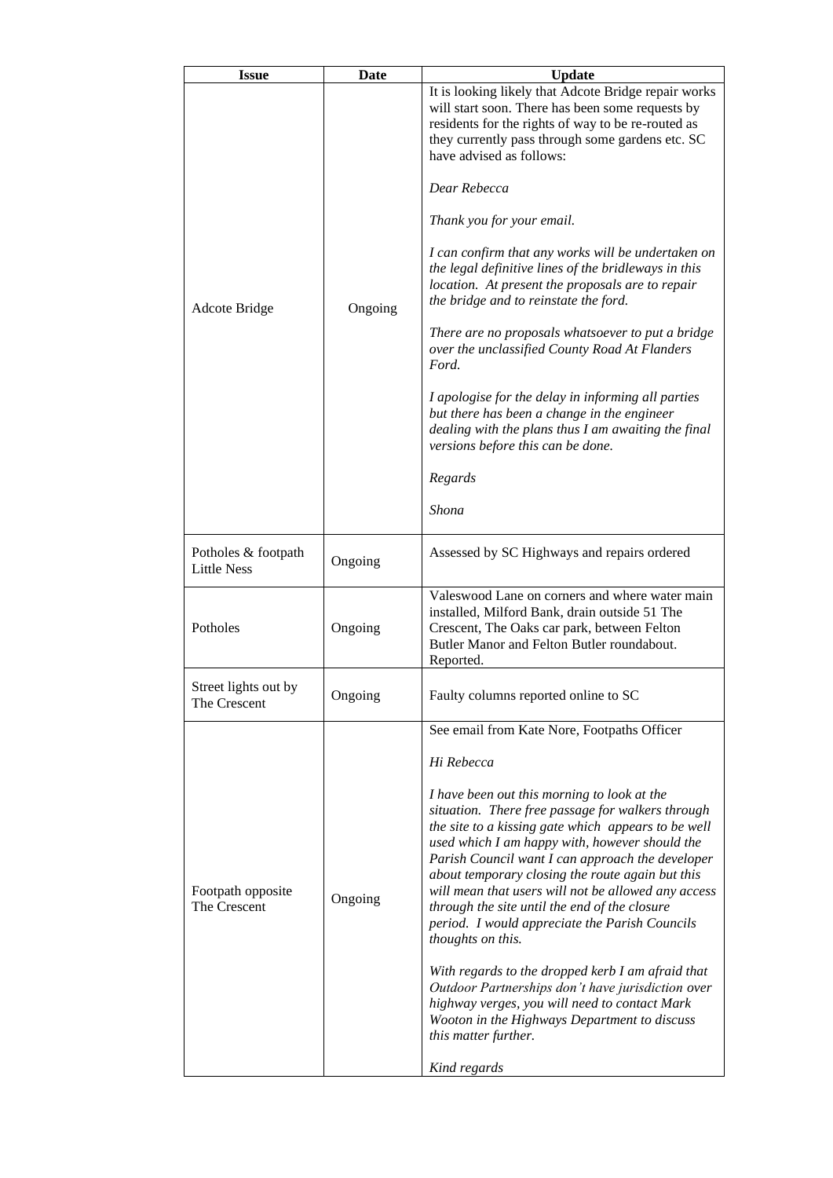| <b>Issue</b>                              | <b>Date</b> | <b>Update</b>                                                                                                                                                                                                                                                                                                                                                                                                                                                                                                                                                                                                                                                                                                                       |  |
|-------------------------------------------|-------------|-------------------------------------------------------------------------------------------------------------------------------------------------------------------------------------------------------------------------------------------------------------------------------------------------------------------------------------------------------------------------------------------------------------------------------------------------------------------------------------------------------------------------------------------------------------------------------------------------------------------------------------------------------------------------------------------------------------------------------------|--|
|                                           |             | It is looking likely that Adcote Bridge repair works<br>will start soon. There has been some requests by<br>residents for the rights of way to be re-routed as<br>they currently pass through some gardens etc. SC<br>have advised as follows:                                                                                                                                                                                                                                                                                                                                                                                                                                                                                      |  |
|                                           | Ongoing     | Dear Rebecca                                                                                                                                                                                                                                                                                                                                                                                                                                                                                                                                                                                                                                                                                                                        |  |
|                                           |             | Thank you for your email.                                                                                                                                                                                                                                                                                                                                                                                                                                                                                                                                                                                                                                                                                                           |  |
| Adcote Bridge                             |             | I can confirm that any works will be undertaken on<br>the legal definitive lines of the bridleways in this<br>location. At present the proposals are to repair<br>the bridge and to reinstate the ford.                                                                                                                                                                                                                                                                                                                                                                                                                                                                                                                             |  |
|                                           |             | There are no proposals whatsoever to put a bridge<br>over the unclassified County Road At Flanders<br>Ford.                                                                                                                                                                                                                                                                                                                                                                                                                                                                                                                                                                                                                         |  |
|                                           |             | I apologise for the delay in informing all parties<br>but there has been a change in the engineer<br>dealing with the plans thus I am awaiting the final<br>versions before this can be done.                                                                                                                                                                                                                                                                                                                                                                                                                                                                                                                                       |  |
|                                           |             | Regards                                                                                                                                                                                                                                                                                                                                                                                                                                                                                                                                                                                                                                                                                                                             |  |
|                                           |             | Shona                                                                                                                                                                                                                                                                                                                                                                                                                                                                                                                                                                                                                                                                                                                               |  |
| Potholes & footpath<br><b>Little Ness</b> | Ongoing     | Assessed by SC Highways and repairs ordered                                                                                                                                                                                                                                                                                                                                                                                                                                                                                                                                                                                                                                                                                         |  |
| Potholes                                  | Ongoing     | Valeswood Lane on corners and where water main<br>installed, Milford Bank, drain outside 51 The<br>Crescent, The Oaks car park, between Felton<br>Butler Manor and Felton Butler roundabout.<br>Reported.                                                                                                                                                                                                                                                                                                                                                                                                                                                                                                                           |  |
| Street lights out by<br>The Crescent      | Ongoing     | Faulty columns reported online to SC                                                                                                                                                                                                                                                                                                                                                                                                                                                                                                                                                                                                                                                                                                |  |
|                                           |             | See email from Kate Nore, Footpaths Officer                                                                                                                                                                                                                                                                                                                                                                                                                                                                                                                                                                                                                                                                                         |  |
|                                           |             | Hi Rebecca                                                                                                                                                                                                                                                                                                                                                                                                                                                                                                                                                                                                                                                                                                                          |  |
| Footpath opposite<br>The Crescent         | Ongoing     | I have been out this morning to look at the<br>situation. There free passage for walkers through<br>the site to a kissing gate which appears to be well<br>used which I am happy with, however should the<br>Parish Council want I can approach the developer<br>about temporary closing the route again but this<br>will mean that users will not be allowed any access<br>through the site until the end of the closure<br>period. I would appreciate the Parish Councils<br>thoughts on this.<br>With regards to the dropped kerb I am afraid that<br>Outdoor Partnerships don't have jurisdiction over<br>highway verges, you will need to contact Mark<br>Wooton in the Highways Department to discuss<br>this matter further. |  |
|                                           |             | Kind regards                                                                                                                                                                                                                                                                                                                                                                                                                                                                                                                                                                                                                                                                                                                        |  |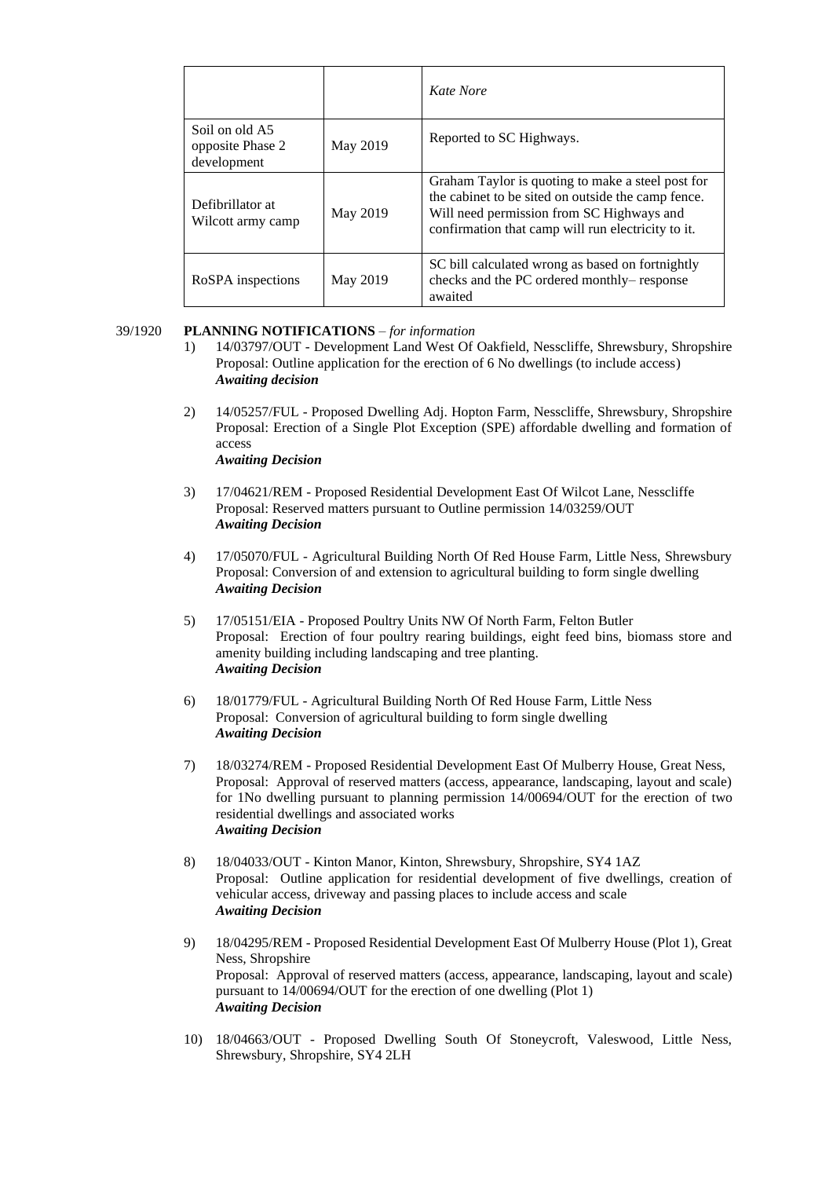|                                                   |          | Kate Nore                                                                                                                                                                                                  |
|---------------------------------------------------|----------|------------------------------------------------------------------------------------------------------------------------------------------------------------------------------------------------------------|
| Soil on old A5<br>opposite Phase 2<br>development | May 2019 | Reported to SC Highways.                                                                                                                                                                                   |
| Defibrillator at<br>Wilcott army camp             | May 2019 | Graham Taylor is quoting to make a steel post for<br>the cabinet to be sited on outside the camp fence.<br>Will need permission from SC Highways and<br>confirmation that camp will run electricity to it. |
| RoSPA inspections                                 | May 2019 | SC bill calculated wrong as based on fortnightly<br>checks and the PC ordered monthly-response<br>awaited                                                                                                  |

## 39/1920 **PLANNING NOTIFICATIONS** – *for information*

- 1) 14/03797/OUT Development Land West Of Oakfield, Nesscliffe, Shrewsbury, Shropshire Proposal: Outline application for the erection of 6 No dwellings (to include access) *Awaiting decision*
- 2) 14/05257/FUL Proposed Dwelling Adj. Hopton Farm, Nesscliffe, Shrewsbury, Shropshire Proposal: Erection of a Single Plot Exception (SPE) affordable dwelling and formation of access *Awaiting Decision*
- 3) 17/04621/REM Proposed Residential Development East Of Wilcot Lane, Nesscliffe Proposal: Reserved matters pursuant to Outline permission 14/03259/OUT *Awaiting Decision*
- 4) 17/05070/FUL Agricultural Building North Of Red House Farm, Little Ness, Shrewsbury Proposal: Conversion of and extension to agricultural building to form single dwelling *Awaiting Decision*
- 5) 17/05151/EIA Proposed Poultry Units NW Of North Farm, Felton Butler Proposal: Erection of four poultry rearing buildings, eight feed bins, biomass store and amenity building including landscaping and tree planting. *Awaiting Decision*
- 6) 18/01779/FUL Agricultural Building North Of Red House Farm, Little Ness Proposal: Conversion of agricultural building to form single dwelling *Awaiting Decision*
- 7) 18/03274/REM Proposed Residential Development East Of Mulberry House, Great Ness, Proposal: Approval of reserved matters (access, appearance, landscaping, layout and scale) for 1No dwelling pursuant to planning permission 14/00694/OUT for the erection of two residential dwellings and associated works *Awaiting Decision*
- 8) 18/04033/OUT Kinton Manor, Kinton, Shrewsbury, Shropshire, SY4 1AZ Proposal: Outline application for residential development of five dwellings, creation of vehicular access, driveway and passing places to include access and scale *Awaiting Decision*
- 9) 18/04295/REM Proposed Residential Development East Of Mulberry House (Plot 1), Great Ness, Shropshire Proposal: Approval of reserved matters (access, appearance, landscaping, layout and scale) pursuant to 14/00694/OUT for the erection of one dwelling (Plot 1) *Awaiting Decision*
- 10) 18/04663/OUT Proposed Dwelling South Of Stoneycroft, Valeswood, Little Ness, Shrewsbury, Shropshire, SY4 2LH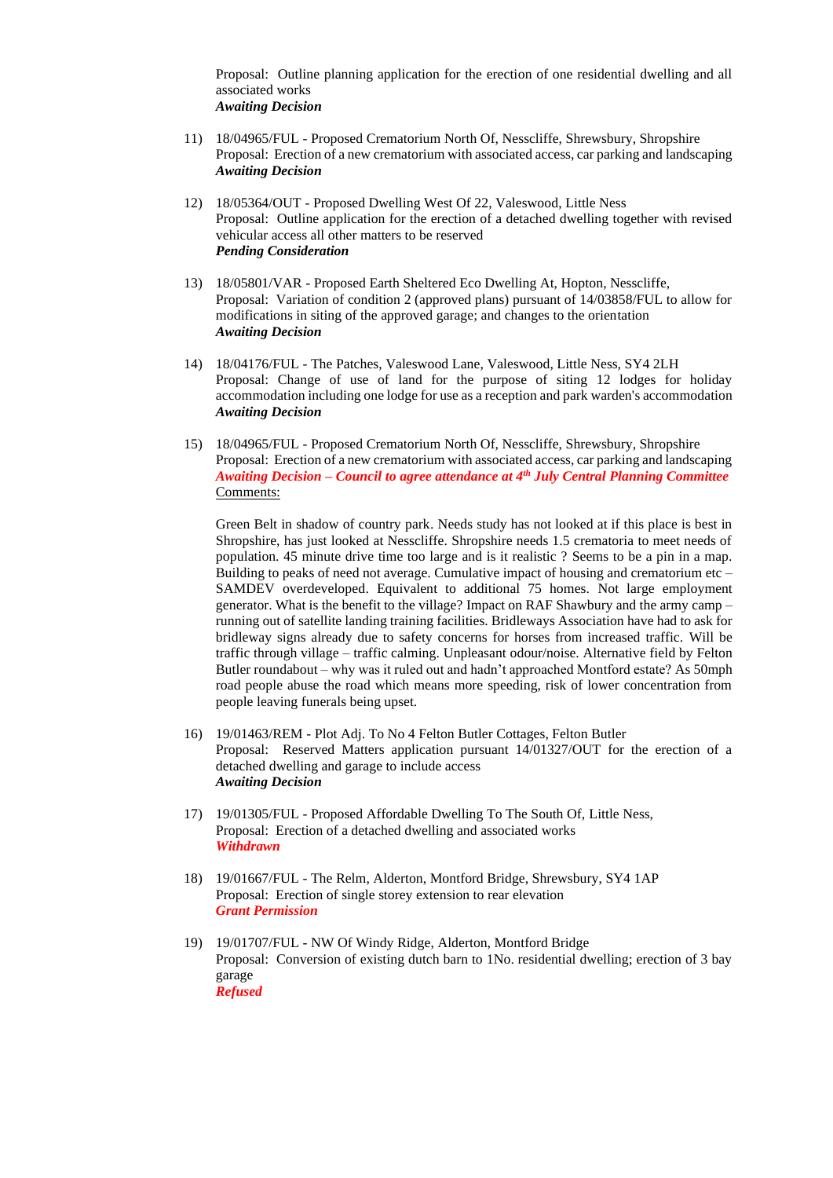Proposal: Outline planning application for the erection of one residential dwelling and all associated works *Awaiting Decision*

- 11) 18/04965/FUL Proposed Crematorium North Of, Nesscliffe, Shrewsbury, Shropshire Proposal: Erection of a new crematorium with associated access, car parking and landscaping *Awaiting Decision*
- 12) 18/05364/OUT Proposed Dwelling West Of 22, Valeswood, Little Ness Proposal: Outline application for the erection of a detached dwelling together with revised vehicular access all other matters to be reserved *Pending Consideration*
- 13) 18/05801/VAR Proposed Earth Sheltered Eco Dwelling At, Hopton, Nesscliffe, Proposal: Variation of condition 2 (approved plans) pursuant of 14/03858/FUL to allow for modifications in siting of the approved garage; and changes to the orientation *Awaiting Decision*
- 14) 18/04176/FUL The Patches, Valeswood Lane, Valeswood, Little Ness, SY4 2LH Proposal: Change of use of land for the purpose of siting 12 lodges for holiday accommodation including one lodge for use as a reception and park warden's accommodation *Awaiting Decision*
- 15) 18/04965/FUL Proposed Crematorium North Of, Nesscliffe, Shrewsbury, Shropshire Proposal: Erection of a new crematorium with associated access, car parking and landscaping *Awaiting Decision – Council to agree attendance at 4th July Central Planning Committee* Comments:

Green Belt in shadow of country park. Needs study has not looked at if this place is best in Shropshire, has just looked at Nesscliffe. Shropshire needs 1.5 crematoria to meet needs of population. 45 minute drive time too large and is it realistic ? Seems to be a pin in a map. Building to peaks of need not average. Cumulative impact of housing and crematorium etc  $-$ SAMDEV overdeveloped. Equivalent to additional 75 homes. Not large employment generator. What is the benefit to the village? Impact on RAF Shawbury and the army camp – running out of satellite landing training facilities. Bridleways Association have had to ask for bridleway signs already due to safety concerns for horses from increased traffic. Will be traffic through village – traffic calming. Unpleasant odour/noise. Alternative field by Felton Butler roundabout – why was it ruled out and hadn't approached Montford estate? As 50mph road people abuse the road which means more speeding, risk of lower concentration from people leaving funerals being upset.

- 16) 19/01463/REM Plot Adj. To No 4 Felton Butler Cottages, Felton Butler Proposal: Reserved Matters application pursuant 14/01327/OUT for the erection of a detached dwelling and garage to include access *Awaiting Decision*
- 17) 19/01305/FUL Proposed Affordable Dwelling To The South Of, Little Ness, Proposal: Erection of a detached dwelling and associated works *Withdrawn*
- 18) 19/01667/FUL The Relm, Alderton, Montford Bridge, Shrewsbury, SY4 1AP Proposal: Erection of single storey extension to rear elevation *Grant Permission*
- 19) 19/01707/FUL NW Of Windy Ridge, Alderton, Montford Bridge Proposal: Conversion of existing dutch barn to 1No. residential dwelling; erection of 3 bay garage *Refused*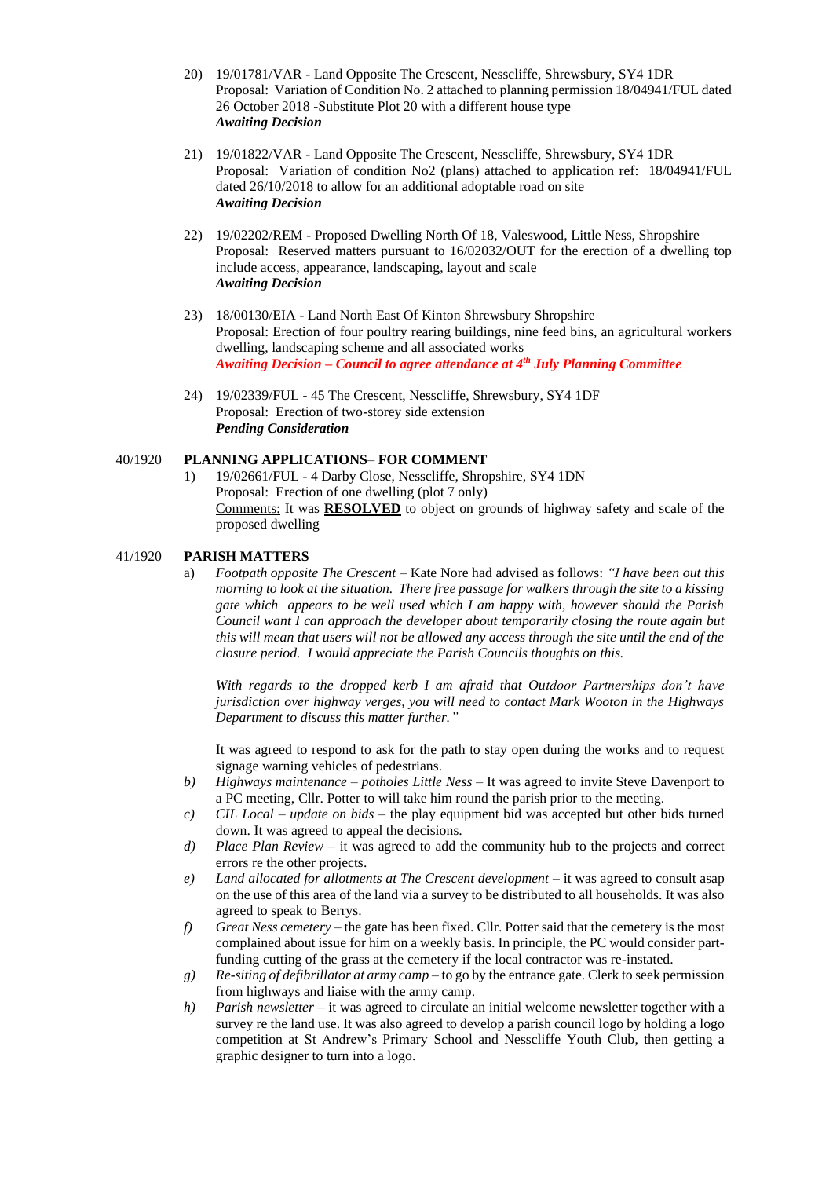- 20) 19/01781/VAR Land Opposite The Crescent, Nesscliffe, Shrewsbury, SY4 1DR Proposal: Variation of Condition No. 2 attached to planning permission 18/04941/FUL dated 26 October 2018 -Substitute Plot 20 with a different house type *Awaiting Decision*
- 21) 19/01822/VAR Land Opposite The Crescent, Nesscliffe, Shrewsbury, SY4 1DR Proposal: Variation of condition No2 (plans) attached to application ref: 18/04941/FUL dated 26/10/2018 to allow for an additional adoptable road on site *Awaiting Decision*
- 22) 19/02202/REM Proposed Dwelling North Of 18, Valeswood, Little Ness, Shropshire Proposal: Reserved matters pursuant to 16/02032/OUT for the erection of a dwelling top include access, appearance, landscaping, layout and scale *Awaiting Decision*
- 23) 18/00130/EIA Land North East Of Kinton Shrewsbury Shropshire Proposal: Erection of four poultry rearing buildings, nine feed bins, an agricultural workers dwelling, landscaping scheme and all associated works *Awaiting Decision – Council to agree attendance at 4th July Planning Committee*
- 24) 19/02339/FUL 45 The Crescent, Nesscliffe, Shrewsbury, SY4 1DF Proposal: Erection of two-storey side extension *Pending Consideration*

## 40/1920 **PLANNING APPLICATIONS**– **FOR COMMENT**

1) 19/02661/FUL - 4 Darby Close, Nesscliffe, Shropshire, SY4 1DN Proposal: Erection of one dwelling (plot 7 only) Comments: It was **RESOLVED** to object on grounds of highway safety and scale of the proposed dwelling

#### 41/1920 **PARISH MATTERS**

a) *Footpath opposite The Crescent –* Kate Nore had advised as follows: *"I have been out this morning to look at the situation. There free passage for walkers through the site to a kissing gate which appears to be well used which I am happy with, however should the Parish Council want I can approach the developer about temporarily closing the route again but this will mean that users will not be allowed any access through the site until the end of the closure period. I would appreciate the Parish Councils thoughts on this.*

*With regards to the dropped kerb I am afraid that Outdoor Partnerships don't have jurisdiction over highway verges, you will need to contact Mark Wooton in the Highways Department to discuss this matter further."* 

It was agreed to respond to ask for the path to stay open during the works and to request signage warning vehicles of pedestrians.

- *b) Highways maintenance – potholes Little Ness*  It was agreed to invite Steve Davenport to a PC meeting, Cllr. Potter to will take him round the parish prior to the meeting.
- *c) CIL Local – update on bids* the play equipment bid was accepted but other bids turned down. It was agreed to appeal the decisions.
- *d) Place Plan Review –* it was agreed to add the community hub to the projects and correct errors re the other projects.
- *e) Land allocated for allotments at The Crescent development* it was agreed to consult asap on the use of this area of the land via a survey to be distributed to all households. It was also agreed to speak to Berrys.
- *f) Great Ness cemetery* the gate has been fixed. Cllr. Potter said that the cemetery is the most complained about issue for him on a weekly basis. In principle, the PC would consider partfunding cutting of the grass at the cemetery if the local contractor was re-instated.
- *g) Re-siting of defibrillator at army camp* to go by the entrance gate. Clerk to seek permission from highways and liaise with the army camp.
- *h*) *Parish newsletter* it was agreed to circulate an initial welcome newsletter together with a survey re the land use. It was also agreed to develop a parish council logo by holding a logo competition at St Andrew's Primary School and Nesscliffe Youth Club, then getting a graphic designer to turn into a logo.